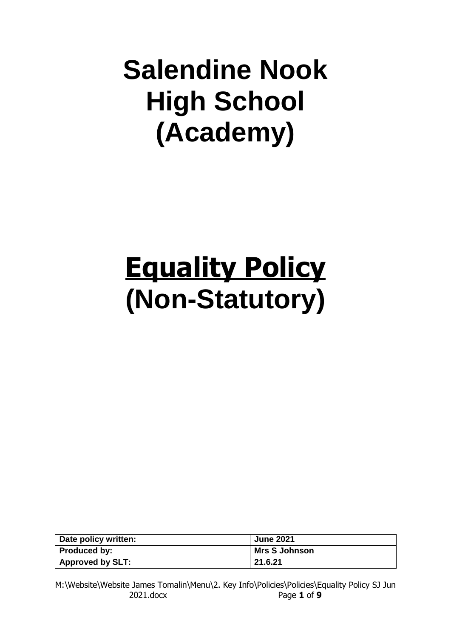# **Salendine Nook High School (Academy)**

# **Equality Policy (Non-Statutory)**

| Date policy written:    | <b>June 2021</b>     |
|-------------------------|----------------------|
| <b>Produced by:</b>     | <b>Mrs S Johnson</b> |
| <b>Approved by SLT:</b> | 21.6.21              |

M:\Website\Website James Tomalin\Menu\2. Key Info\Policies\Policies\Equality Policy SJ Jun 2021.docx Page **1** of **9**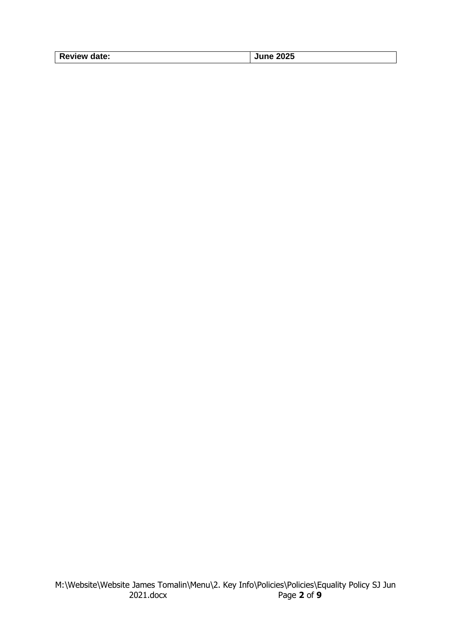| <b>Review date:</b> | 2025<br>June. |
|---------------------|---------------|
|---------------------|---------------|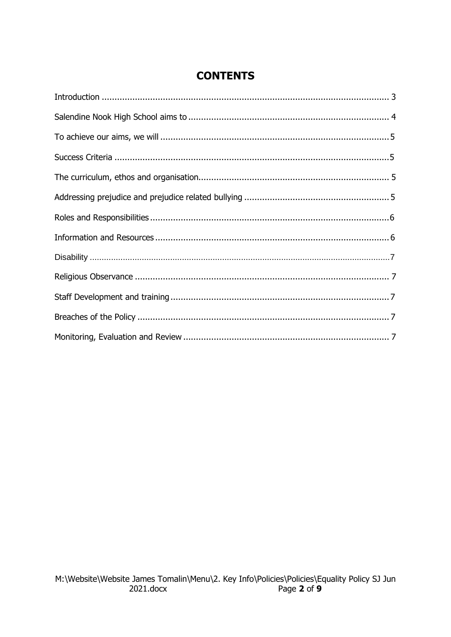# **CONTENTS**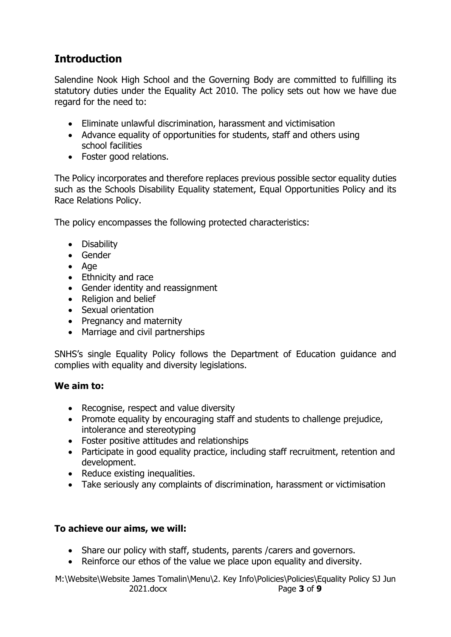# <span id="page-3-0"></span>**Introduction**

Salendine Nook High School and the Governing Body are committed to fulfilling its statutory duties under the Equality Act 2010. The policy sets out how we have due regard for the need to:

- Eliminate unlawful discrimination, harassment and victimisation
- Advance equality of opportunities for students, staff and others using school facilities
- Foster good relations.

The Policy incorporates and therefore replaces previous possible sector equality duties such as the Schools Disability Equality statement, Equal Opportunities Policy and its Race Relations Policy.

The policy encompasses the following protected characteristics:

- Disability
- Gender
- Age
- Ethnicity and race
- Gender identity and reassignment
- Religion and belief
- Sexual orientation
- Pregnancy and maternity
- Marriage and civil partnerships

SNHS's single Equality Policy follows the Department of Education guidance and complies with equality and diversity legislations.

#### **We aim to:**

- Recognise, respect and value diversity
- Promote equality by encouraging staff and students to challenge prejudice, intolerance and stereotyping
- Foster positive attitudes and relationships
- Participate in good equality practice, including staff recruitment, retention and development.
- Reduce existing inequalities.
- Take seriously any complaints of discrimination, harassment or victimisation

#### <span id="page-3-1"></span>**To achieve our aims, we will:**

- Share our policy with staff, students, parents / carers and governors.
- Reinforce our ethos of the value we place upon equality and diversity.

M:\Website\Website James Tomalin\Menu\2. Key Info\Policies\Policies\Equality Policy SJ Jun 2021.docx Page **3** of **9**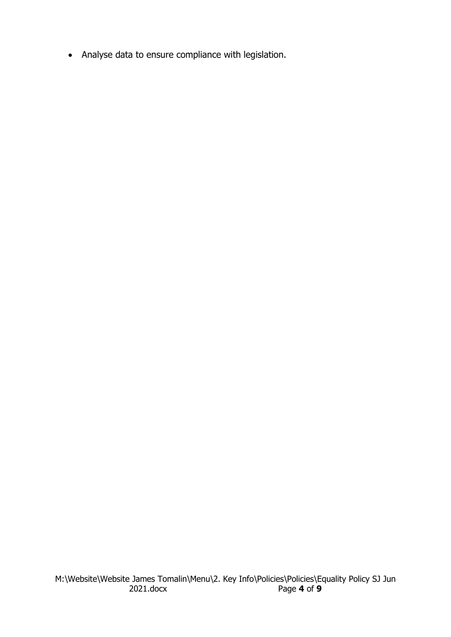• Analyse data to ensure compliance with legislation.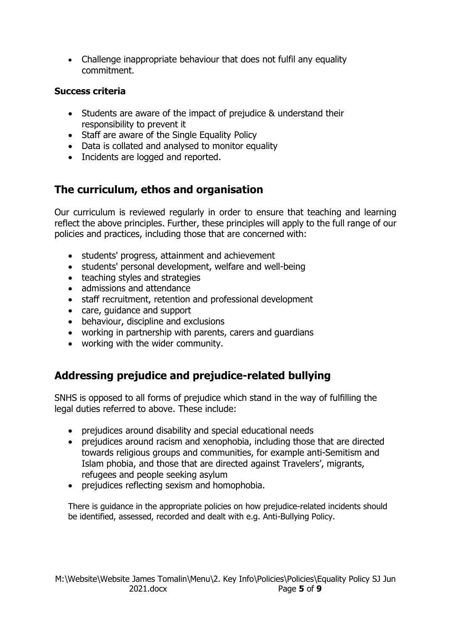• Challenge inappropriate behaviour that does not fulfil any equality commitment.

### <span id="page-5-0"></span>**Success criteria**

- Students are aware of the impact of prejudice & understand their responsibility to prevent it
- Staff are aware of the Single Equality Policy
- Data is collated and analysed to monitor equality
- Incidents are logged and reported.

# <span id="page-5-1"></span>**The curriculum, ethos and organisation**

Our curriculum is reviewed regularly in order to ensure that teaching and learning reflect the above principles. Further, these principles will apply to the full range of our policies and practices, including those that are concerned with:

- students' progress, attainment and achievement
- students' personal development, welfare and well-being
- teaching styles and strategies
- admissions and attendance
- staff recruitment, retention and professional development
- care, guidance and support
- behaviour, discipline and exclusions
- working in partnership with parents, carers and guardians
- working with the wider community.

# <span id="page-5-2"></span>**Addressing prejudice and prejudice-related bullying**

SNHS is opposed to all forms of prejudice which stand in the way of fulfilling the legal duties referred to above. These include:

- prejudices around disability and special educational needs
- prejudices around racism and xenophobia, including those that are directed towards religious groups and communities, for example anti-Semitism and Islam phobia, and those that are directed against Travelers', migrants, refugees and people seeking asylum
- prejudices reflecting sexism and homophobia.

There is guidance in the appropriate policies on how prejudice-related incidents should be identified, assessed, recorded and dealt with e.g. Anti-Bullying Policy.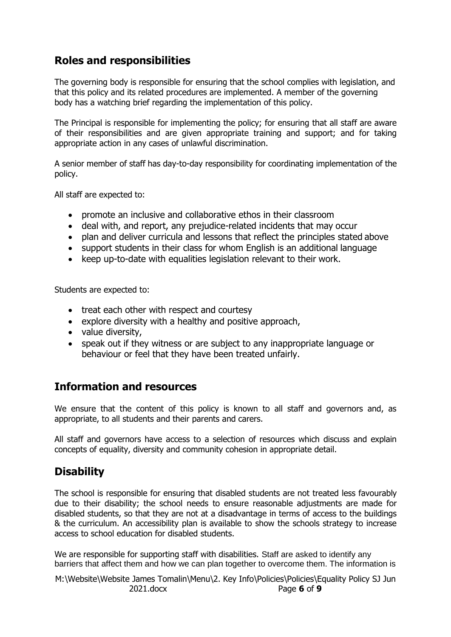# <span id="page-6-0"></span>**Roles and responsibilities**

The governing body is responsible for ensuring that the school complies with legislation, and that this policy and its related procedures are implemented. A member of the governing body has a watching brief regarding the implementation of this policy.

The Principal is responsible for implementing the policy; for ensuring that all staff are aware of their responsibilities and are given appropriate training and support; and for taking appropriate action in any cases of unlawful discrimination.

A senior member of staff has day-to-day responsibility for coordinating implementation of the policy.

All staff are expected to:

- promote an inclusive and collaborative ethos in their classroom
- deal with, and report, any prejudice-related incidents that may occur
- plan and deliver curricula and lessons that reflect the principles stated above
- support students in their class for whom English is an additional language
- keep up-to-date with equalities legislation relevant to their work.

Students are expected to:

- treat each other with respect and courtesy
- explore diversity with a healthy and positive approach,
- value diversity,
- speak out if they witness or are subject to any inappropriate language or behaviour or feel that they have been treated unfairly.

### <span id="page-6-1"></span>**Information and resources**

We ensure that the content of this policy is known to all staff and governors and, as appropriate, to all students and their parents and carers.

All staff and governors have access to a selection of resources which discuss and explain concepts of equality, diversity and community cohesion in appropriate detail.

# <span id="page-6-2"></span>**Disability**

The school is responsible for ensuring that disabled students are not treated less favourably due to their disability; the school needs to ensure reasonable adjustments are made for disabled students, so that they are not at a disadvantage in terms of access to the buildings & the curriculum. An accessibility plan is available to show the schools strategy to increase access to school education for disabled students.

We are responsible for supporting staff with disabilities. Staff are asked to identify any barriers that affect them and how we can plan together to overcome them. The information is

M:\Website\Website James Tomalin\Menu\2. Key Info\Policies\Policies\Equality Policy SJ Jun 2021.docx Page **6** of **9**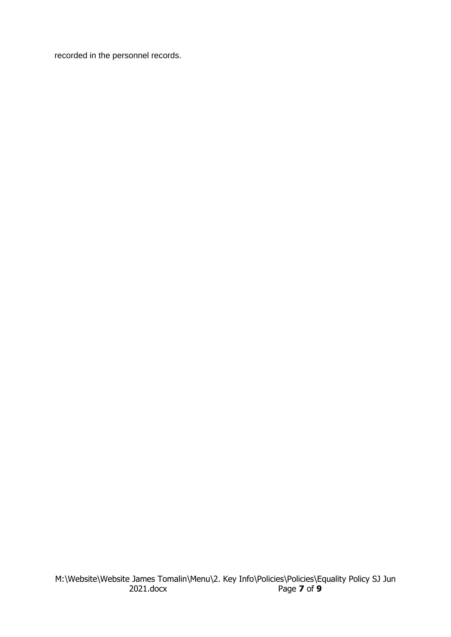recorded in the personnel records.